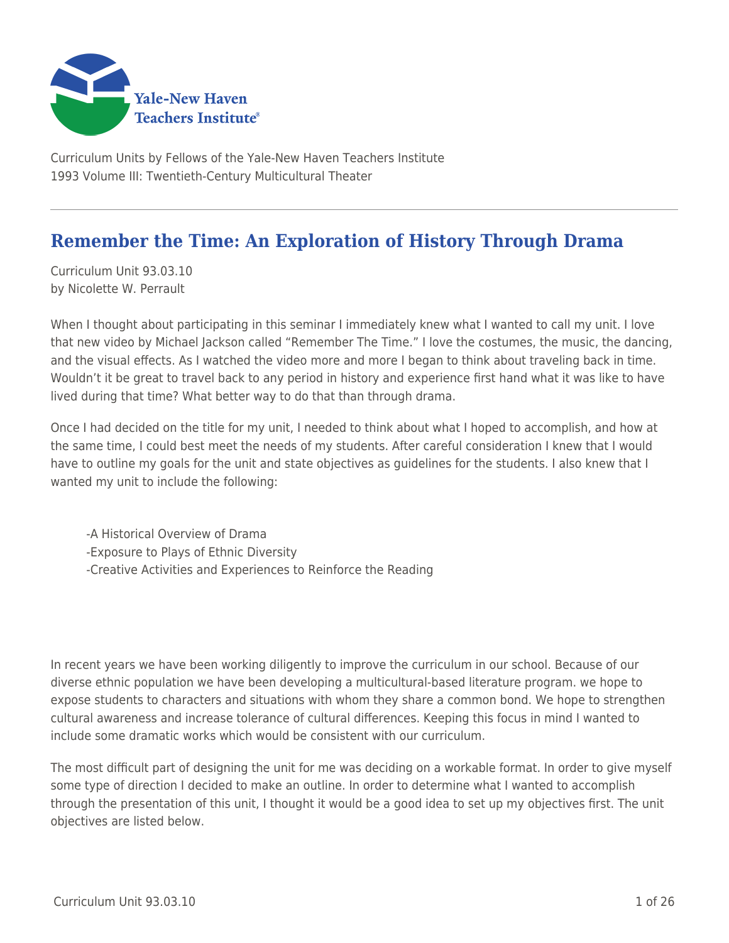

Curriculum Units by Fellows of the Yale-New Haven Teachers Institute 1993 Volume III: Twentieth-Century Multicultural Theater

# **Remember the Time: An Exploration of History Through Drama**

Curriculum Unit 93.03.10 by Nicolette W. Perrault

When I thought about participating in this seminar I immediately knew what I wanted to call my unit. I love that new video by Michael Jackson called "Remember The Time." I love the costumes, the music, the dancing, and the visual effects. As I watched the video more and more I began to think about traveling back in time. Wouldn't it be great to travel back to any period in history and experience first hand what it was like to have lived during that time? What better way to do that than through drama.

Once I had decided on the title for my unit, I needed to think about what I hoped to accomplish, and how at the same time, I could best meet the needs of my students. After careful consideration I knew that I would have to outline my goals for the unit and state objectives as guidelines for the students. I also knew that I wanted my unit to include the following:

-A Historical Overview of Drama -Exposure to Plays of Ethnic Diversity -Creative Activities and Experiences to Reinforce the Reading

In recent years we have been working diligently to improve the curriculum in our school. Because of our diverse ethnic population we have been developing a multicultural-based literature program. we hope to expose students to characters and situations with whom they share a common bond. We hope to strengthen cultural awareness and increase tolerance of cultural differences. Keeping this focus in mind I wanted to include some dramatic works which would be consistent with our curriculum.

The most difficult part of designing the unit for me was deciding on a workable format. In order to give myself some type of direction I decided to make an outline. In order to determine what I wanted to accomplish through the presentation of this unit, I thought it would be a good idea to set up my objectives first. The unit objectives are listed below.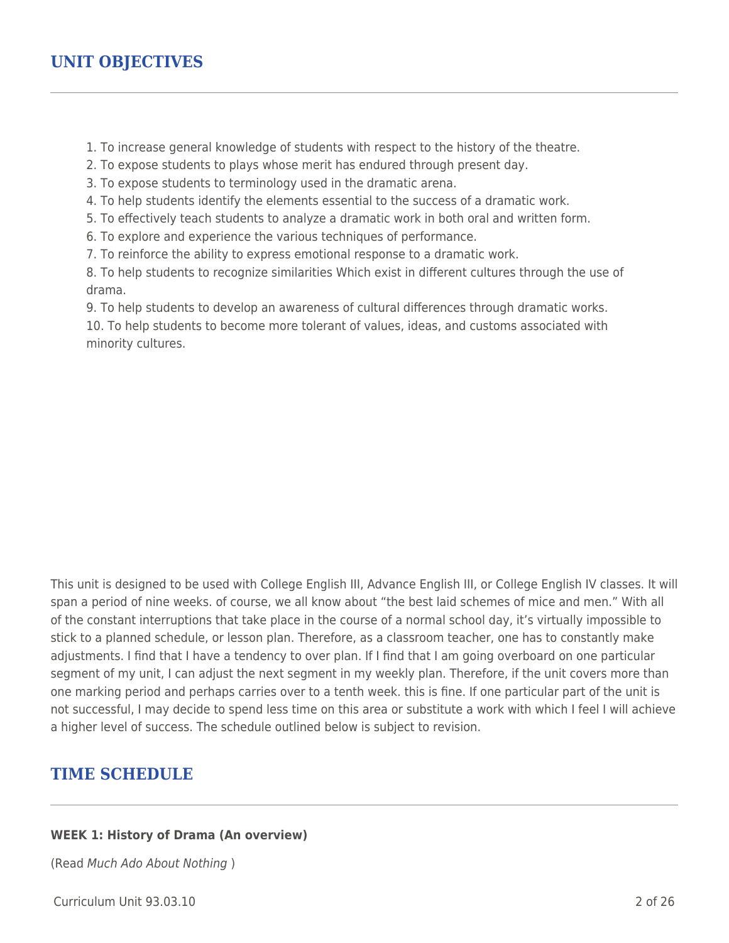1. To increase general knowledge of students with respect to the history of the theatre.

2. To expose students to plays whose merit has endured through present day.

3. To expose students to terminology used in the dramatic arena.

4. To help students identify the elements essential to the success of a dramatic work.

5. To effectively teach students to analyze a dramatic work in both oral and written form.

6. To explore and experience the various techniques of performance.

7. To reinforce the ability to express emotional response to a dramatic work.

8. To help students to recognize similarities Which exist in different cultures through the use of drama.

9. To help students to develop an awareness of cultural differences through dramatic works.

10. To help students to become more tolerant of values, ideas, and customs associated with minority cultures.

This unit is designed to be used with College English III, Advance English III, or College English IV classes. It will span a period of nine weeks. of course, we all know about "the best laid schemes of mice and men." With all of the constant interruptions that take place in the course of a normal school day, it's virtually impossible to stick to a planned schedule, or lesson plan. Therefore, as a classroom teacher, one has to constantly make adjustments. I find that I have a tendency to over plan. If I find that I am going overboard on one particular segment of my unit, I can adjust the next segment in my weekly plan. Therefore, if the unit covers more than one marking period and perhaps carries over to a tenth week. this is fine. If one particular part of the unit is not successful, I may decide to spend less time on this area or substitute a work with which I feel I will achieve a higher level of success. The schedule outlined below is subject to revision.

## **TIME SCHEDULE**

#### **WEEK 1: History of Drama (An overview)**

(Read Much Ado About Nothing )

Curriculum Unit 93.03.10 2 of 26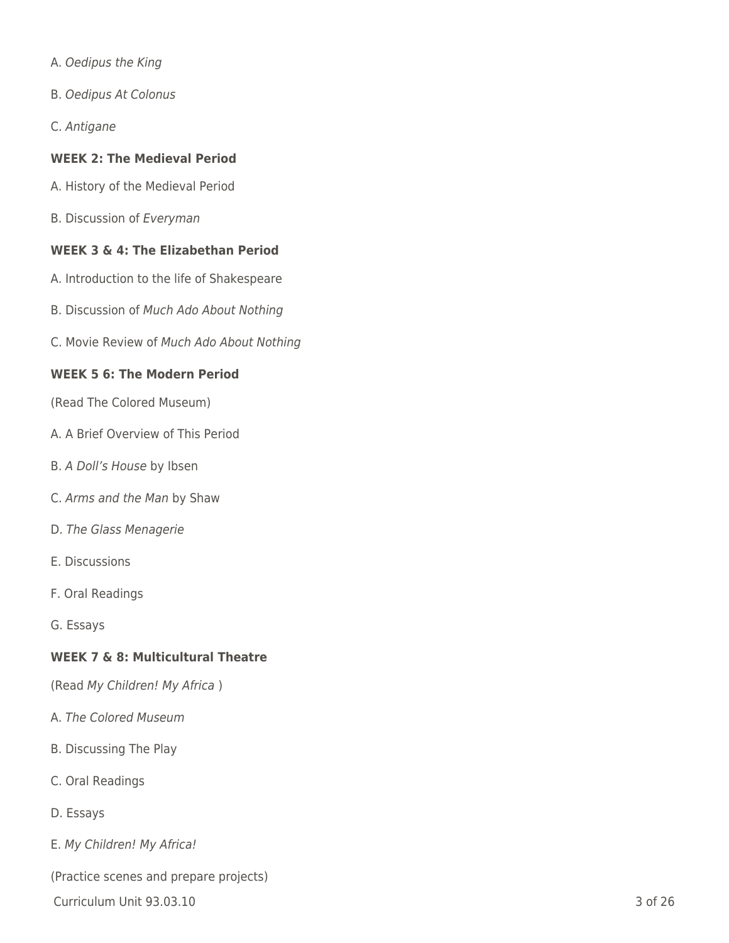- A. Oedipus the King
- B. Oedipus At Colonus
- C. Antigane

## **WEEK 2: The Medieval Period**

- A. History of the Medieval Period
- B. Discussion of Everyman

## **WEEK 3 & 4: The Elizabethan Period**

- A. Introduction to the life of Shakespeare
- B. Discussion of Much Ado About Nothing
- C. Movie Review of Much Ado About Nothing

## **WEEK 5 6: The Modern Period**

(Read The Colored Museum)

- A. A Brief Overview of This Period
- B. A Doll's House by Ibsen
- C. Arms and the Man by Shaw
- D. The Glass Menagerie
- E. Discussions
- F. Oral Readings
- G. Essays

## **WEEK 7 & 8: Multicultural Theatre**

(Read My Children! My Africa )

- A. The Colored Museum
- B. Discussing The Play
- C. Oral Readings
- D. Essays
- E. My Children! My Africa!

(Practice scenes and prepare projects)

Curriculum Unit 93.03.10 3 of 26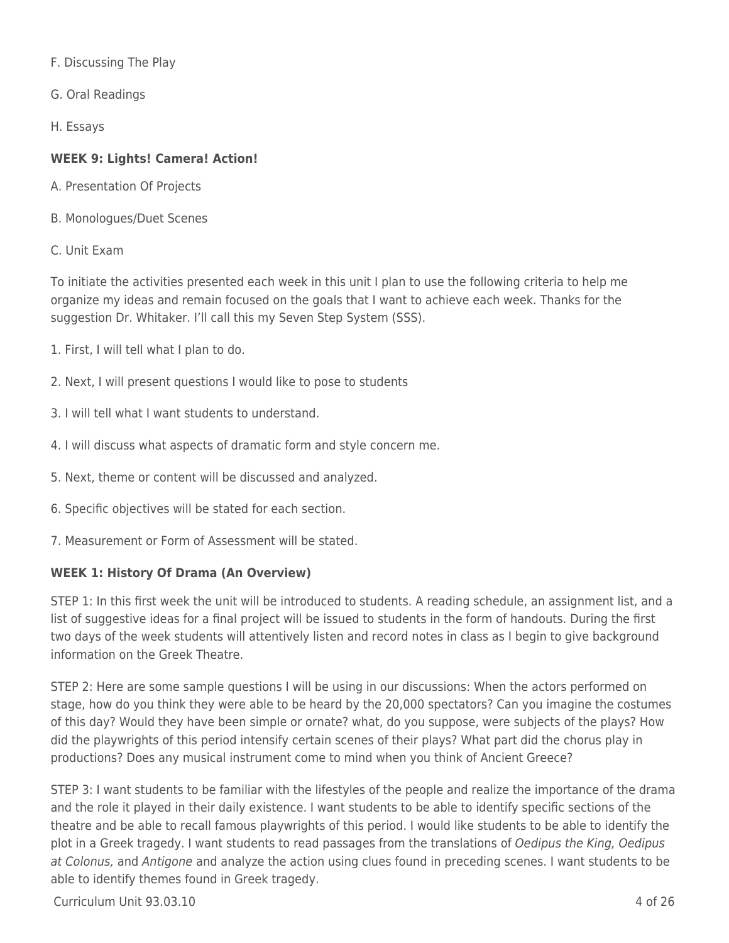F. Discussing The Play

G. Oral Readings

H. Essays

## **WEEK 9: Lights! Camera! Action!**

- A. Presentation Of Projects
- B. Monologues/Duet Scenes
- C. Unit Exam

To initiate the activities presented each week in this unit I plan to use the following criteria to help me organize my ideas and remain focused on the goals that I want to achieve each week. Thanks for the suggestion Dr. Whitaker. I'll call this my Seven Step System (SSS).

- 1. First, I will tell what I plan to do.
- 2. Next, I will present questions I would like to pose to students
- 3. I will tell what I want students to understand.
- 4. I will discuss what aspects of dramatic form and style concern me.
- 5. Next, theme or content will be discussed and analyzed.
- 6. Specific objectives will be stated for each section.
- 7. Measurement or Form of Assessment will be stated.

## **WEEK 1: History Of Drama (An Overview)**

STEP 1: In this first week the unit will be introduced to students. A reading schedule, an assignment list, and a list of suggestive ideas for a final project will be issued to students in the form of handouts. During the first two days of the week students will attentively listen and record notes in class as I begin to give background information on the Greek Theatre.

STEP 2: Here are some sample questions I will be using in our discussions: When the actors performed on stage, how do you think they were able to be heard by the 20,000 spectators? Can you imagine the costumes of this day? Would they have been simple or ornate? what, do you suppose, were subjects of the plays? How did the playwrights of this period intensify certain scenes of their plays? What part did the chorus play in productions? Does any musical instrument come to mind when you think of Ancient Greece?

STEP 3: I want students to be familiar with the lifestyles of the people and realize the importance of the drama and the role it played in their daily existence. I want students to be able to identify specific sections of the theatre and be able to recall famous playwrights of this period. I would like students to be able to identify the plot in a Greek tragedy. I want students to read passages from the translations of Oedipus the King, Oedipus at Colonus, and Antigone and analyze the action using clues found in preceding scenes. I want students to be able to identify themes found in Greek tragedy.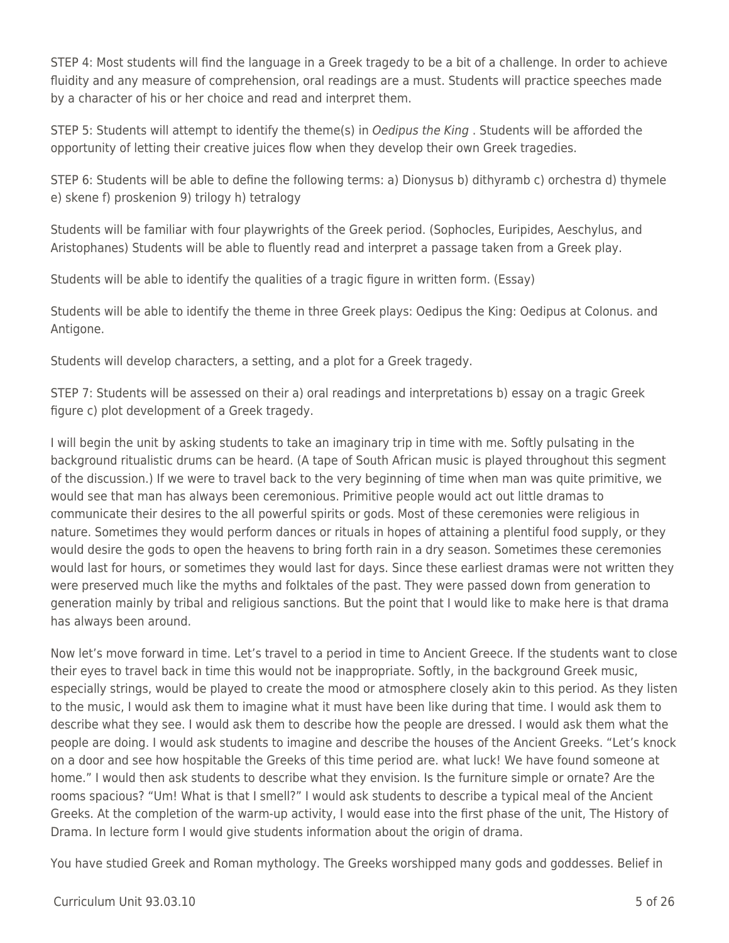STEP 4: Most students will find the language in a Greek tragedy to be a bit of a challenge. In order to achieve fluidity and any measure of comprehension, oral readings are a must. Students will practice speeches made by a character of his or her choice and read and interpret them.

STEP 5: Students will attempt to identify the theme(s) in Oedipus the King . Students will be afforded the opportunity of letting their creative juices flow when they develop their own Greek tragedies.

STEP 6: Students will be able to define the following terms: a) Dionysus b) dithyramb c) orchestra d) thymele e) skene f) proskenion 9) trilogy h) tetralogy

Students will be familiar with four playwrights of the Greek period. (Sophocles, Euripides, Aeschylus, and Aristophanes) Students will be able to fluently read and interpret a passage taken from a Greek play.

Students will be able to identify the qualities of a tragic figure in written form. (Essay)

Students will be able to identify the theme in three Greek plays: Oedipus the King: Oedipus at Colonus. and Antigone.

Students will develop characters, a setting, and a plot for a Greek tragedy.

STEP 7: Students will be assessed on their a) oral readings and interpretations b) essay on a tragic Greek figure c) plot development of a Greek tragedy.

I will begin the unit by asking students to take an imaginary trip in time with me. Softly pulsating in the background ritualistic drums can be heard. (A tape of South African music is played throughout this segment of the discussion.) If we were to travel back to the very beginning of time when man was quite primitive, we would see that man has always been ceremonious. Primitive people would act out little dramas to communicate their desires to the all powerful spirits or gods. Most of these ceremonies were religious in nature. Sometimes they would perform dances or rituals in hopes of attaining a plentiful food supply, or they would desire the gods to open the heavens to bring forth rain in a dry season. Sometimes these ceremonies would last for hours, or sometimes they would last for days. Since these earliest dramas were not written they were preserved much like the myths and folktales of the past. They were passed down from generation to generation mainly by tribal and religious sanctions. But the point that I would like to make here is that drama has always been around.

Now let's move forward in time. Let's travel to a period in time to Ancient Greece. If the students want to close their eyes to travel back in time this would not be inappropriate. Softly, in the background Greek music, especially strings, would be played to create the mood or atmosphere closely akin to this period. As they listen to the music, I would ask them to imagine what it must have been like during that time. I would ask them to describe what they see. I would ask them to describe how the people are dressed. I would ask them what the people are doing. I would ask students to imagine and describe the houses of the Ancient Greeks. "Let's knock on a door and see how hospitable the Greeks of this time period are. what luck! We have found someone at home." I would then ask students to describe what they envision. Is the furniture simple or ornate? Are the rooms spacious? "Um! What is that I smell?" I would ask students to describe a typical meal of the Ancient Greeks. At the completion of the warm-up activity, I would ease into the first phase of the unit, The History of Drama. In lecture form I would give students information about the origin of drama.

You have studied Greek and Roman mythology. The Greeks worshipped many gods and goddesses. Belief in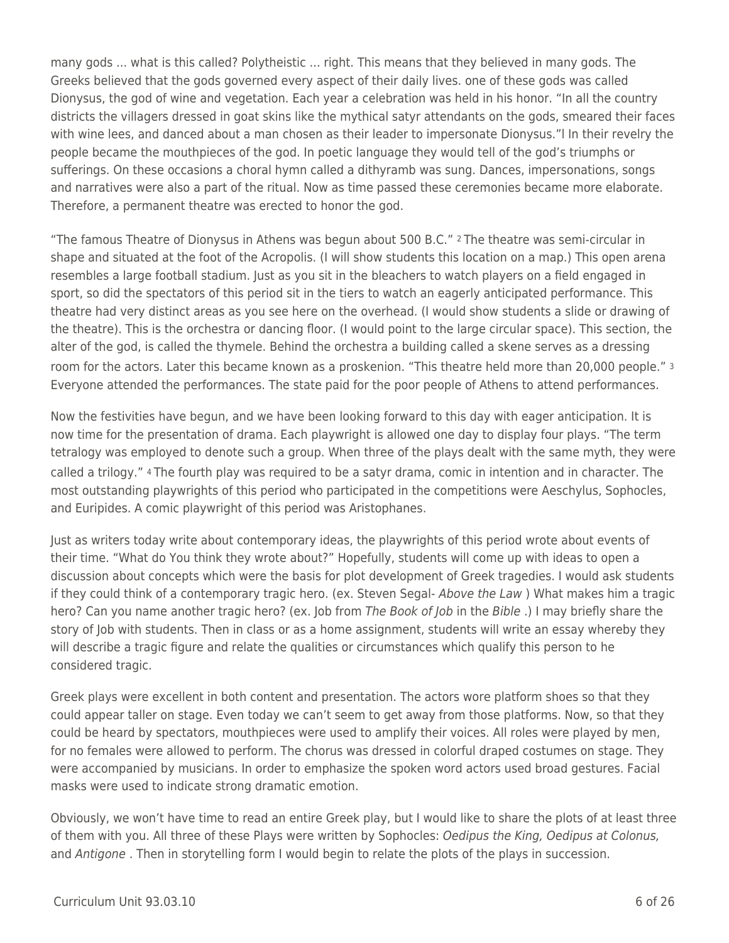many gods ... what is this called? Polytheistic ... right. This means that they believed in many gods. The Greeks believed that the gods governed every aspect of their daily lives. one of these gods was called Dionysus, the god of wine and vegetation. Each year a celebration was held in his honor. "In all the country districts the villagers dressed in goat skins like the mythical satyr attendants on the gods, smeared their faces with wine lees, and danced about a man chosen as their leader to impersonate Dionysus."l In their revelry the people became the mouthpieces of the god. In poetic language they would tell of the god's triumphs or sufferings. On these occasions a choral hymn called a dithyramb was sung. Dances, impersonations, songs and narratives were also a part of the ritual. Now as time passed these ceremonies became more elaborate. Therefore, a permanent theatre was erected to honor the god.

"The famous Theatre of Dionysus in Athens was begun about 500 B.C." 2 The theatre was semi-circular in shape and situated at the foot of the Acropolis. (I will show students this location on a map.) This open arena resembles a large football stadium. Just as you sit in the bleachers to watch players on a field engaged in sport, so did the spectators of this period sit in the tiers to watch an eagerly anticipated performance. This theatre had very distinct areas as you see here on the overhead. (I would show students a slide or drawing of the theatre). This is the orchestra or dancing floor. (I would point to the large circular space). This section, the alter of the god, is called the thymele. Behind the orchestra a building called a skene serves as a dressing room for the actors. Later this became known as a proskenion. "This theatre held more than 20,000 people." <sup>3</sup> Everyone attended the performances. The state paid for the poor people of Athens to attend performances.

Now the festivities have begun, and we have been looking forward to this day with eager anticipation. It is now time for the presentation of drama. Each playwright is allowed one day to display four plays. "The term tetralogy was employed to denote such a group. When three of the plays dealt with the same myth, they were called a trilogy." 4 The fourth play was required to be a satyr drama, comic in intention and in character. The most outstanding playwrights of this period who participated in the competitions were Aeschylus, Sophocles, and Euripides. A comic playwright of this period was Aristophanes.

Just as writers today write about contemporary ideas, the playwrights of this period wrote about events of their time. "What do You think they wrote about?" Hopefully, students will come up with ideas to open a discussion about concepts which were the basis for plot development of Greek tragedies. I would ask students if they could think of a contemporary tragic hero. (ex. Steven Segal- Above the Law ) What makes him a tragic hero? Can you name another tragic hero? (ex. Job from The Book of Job in the Bible.) I may briefly share the story of Job with students. Then in class or as a home assignment, students will write an essay whereby they will describe a tragic figure and relate the qualities or circumstances which qualify this person to he considered tragic.

Greek plays were excellent in both content and presentation. The actors wore platform shoes so that they could appear taller on stage. Even today we can't seem to get away from those platforms. Now, so that they could be heard by spectators, mouthpieces were used to amplify their voices. All roles were played by men, for no females were allowed to perform. The chorus was dressed in colorful draped costumes on stage. They were accompanied by musicians. In order to emphasize the spoken word actors used broad gestures. Facial masks were used to indicate strong dramatic emotion.

Obviously, we won't have time to read an entire Greek play, but I would like to share the plots of at least three of them with you. All three of these Plays were written by Sophocles: Oedipus the King, Oedipus at Colonus, and Antigone. Then in storytelling form I would begin to relate the plots of the plays in succession.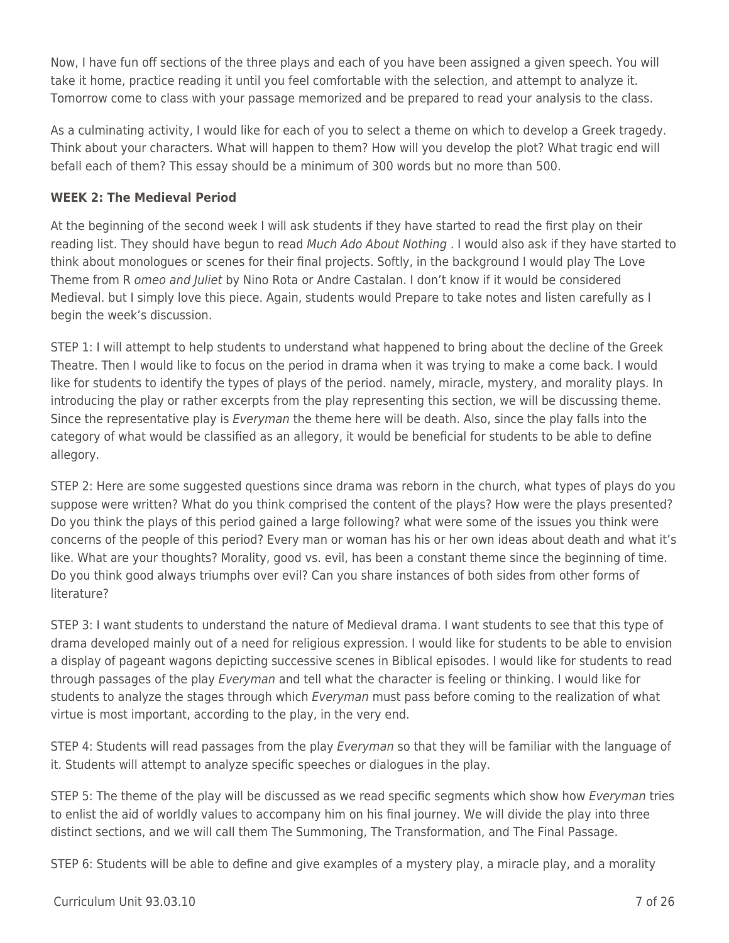Now, I have fun off sections of the three plays and each of you have been assigned a given speech. You will take it home, practice reading it until you feel comfortable with the selection, and attempt to analyze it. Tomorrow come to class with your passage memorized and be prepared to read your analysis to the class.

As a culminating activity, I would like for each of you to select a theme on which to develop a Greek tragedy. Think about your characters. What will happen to them? How will you develop the plot? What tragic end will befall each of them? This essay should be a minimum of 300 words but no more than 500.

## **WEEK 2: The Medieval Period**

At the beginning of the second week I will ask students if they have started to read the first play on their reading list. They should have begun to read Much Ado About Nothing . I would also ask if they have started to think about monologues or scenes for their final projects. Softly, in the background I would play The Love Theme from R omeo and Juliet by Nino Rota or Andre Castalan. I don't know if it would be considered Medieval. but I simply love this piece. Again, students would Prepare to take notes and listen carefully as I begin the week's discussion.

STEP 1: I will attempt to help students to understand what happened to bring about the decline of the Greek Theatre. Then I would like to focus on the period in drama when it was trying to make a come back. I would like for students to identify the types of plays of the period. namely, miracle, mystery, and morality plays. In introducing the play or rather excerpts from the play representing this section, we will be discussing theme. Since the representative play is Everyman the theme here will be death. Also, since the play falls into the category of what would be classified as an allegory, it would be beneficial for students to be able to define allegory.

STEP 2: Here are some suggested questions since drama was reborn in the church, what types of plays do you suppose were written? What do you think comprised the content of the plays? How were the plays presented? Do you think the plays of this period gained a large following? what were some of the issues you think were concerns of the people of this period? Every man or woman has his or her own ideas about death and what it's like. What are your thoughts? Morality, good vs. evil, has been a constant theme since the beginning of time. Do you think good always triumphs over evil? Can you share instances of both sides from other forms of literature?

STEP 3: I want students to understand the nature of Medieval drama. I want students to see that this type of drama developed mainly out of a need for religious expression. I would like for students to be able to envision a display of pageant wagons depicting successive scenes in Biblical episodes. I would like for students to read through passages of the play *Everyman* and tell what the character is feeling or thinking. I would like for students to analyze the stages through which Everyman must pass before coming to the realization of what virtue is most important, according to the play, in the very end.

STEP 4: Students will read passages from the play Everyman so that they will be familiar with the language of it. Students will attempt to analyze specific speeches or dialogues in the play.

STEP 5: The theme of the play will be discussed as we read specific segments which show how Everyman tries to enlist the aid of worldly values to accompany him on his final journey. We will divide the play into three distinct sections, and we will call them The Summoning, The Transformation, and The Final Passage.

STEP 6: Students will be able to define and give examples of a mystery play, a miracle play, and a morality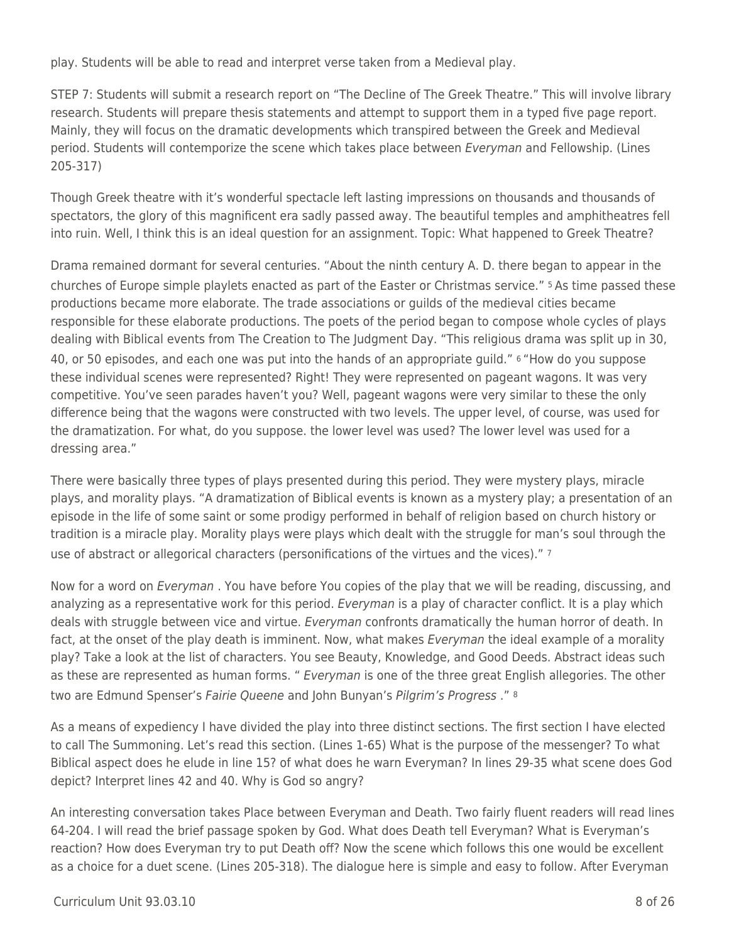play. Students will be able to read and interpret verse taken from a Medieval play.

STEP 7: Students will submit a research report on "The Decline of The Greek Theatre." This will involve library research. Students will prepare thesis statements and attempt to support them in a typed five page report. Mainly, they will focus on the dramatic developments which transpired between the Greek and Medieval period. Students will contemporize the scene which takes place between Everyman and Fellowship. (Lines 205-317)

Though Greek theatre with it's wonderful spectacle left lasting impressions on thousands and thousands of spectators, the glory of this magnificent era sadly passed away. The beautiful temples and amphitheatres fell into ruin. Well, I think this is an ideal question for an assignment. Topic: What happened to Greek Theatre?

Drama remained dormant for several centuries. "About the ninth century A. D. there began to appear in the churches of Europe simple playlets enacted as part of the Easter or Christmas service." 5 As time passed these productions became more elaborate. The trade associations or guilds of the medieval cities became responsible for these elaborate productions. The poets of the period began to compose whole cycles of plays dealing with Biblical events from The Creation to The Judgment Day. "This religious drama was split up in 30, 40, or 50 episodes, and each one was put into the hands of an appropriate guild." 6 "How do you suppose these individual scenes were represented? Right! They were represented on pageant wagons. It was very competitive. You've seen parades haven't you? Well, pageant wagons were very similar to these the only difference being that the wagons were constructed with two levels. The upper level, of course, was used for the dramatization. For what, do you suppose. the lower level was used? The lower level was used for a dressing area."

There were basically three types of plays presented during this period. They were mystery plays, miracle plays, and morality plays. "A dramatization of Biblical events is known as a mystery play; a presentation of an episode in the life of some saint or some prodigy performed in behalf of religion based on church history or tradition is a miracle play. Morality plays were plays which dealt with the struggle for man's soul through the use of abstract or allegorical characters (personifications of the virtues and the vices)." 7

Now for a word on *Everyman*. You have before You copies of the play that we will be reading, discussing, and analyzing as a representative work for this period. Everyman is a play of character conflict. It is a play which deals with struggle between vice and virtue. Everyman confronts dramatically the human horror of death. In fact, at the onset of the play death is imminent. Now, what makes *Everyman* the ideal example of a morality play? Take a look at the list of characters. You see Beauty, Knowledge, and Good Deeds. Abstract ideas such as these are represented as human forms. " *Everyman* is one of the three great English allegories. The other two are Edmund Spenser's Fairie Queene and John Bunyan's Pilgrim's Progress ." <sup>8</sup>

As a means of expediency I have divided the play into three distinct sections. The first section I have elected to call The Summoning. Let's read this section. (Lines 1-65) What is the purpose of the messenger? To what Biblical aspect does he elude in line 15? of what does he warn Everyman? In lines 29-35 what scene does God depict? Interpret lines 42 and 40. Why is God so angry?

An interesting conversation takes Place between Everyman and Death. Two fairly fluent readers will read lines 64-204. I will read the brief passage spoken by God. What does Death tell Everyman? What is Everyman's reaction? How does Everyman try to put Death off? Now the scene which follows this one would be excellent as a choice for a duet scene. (Lines 205-318). The dialogue here is simple and easy to follow. After Everyman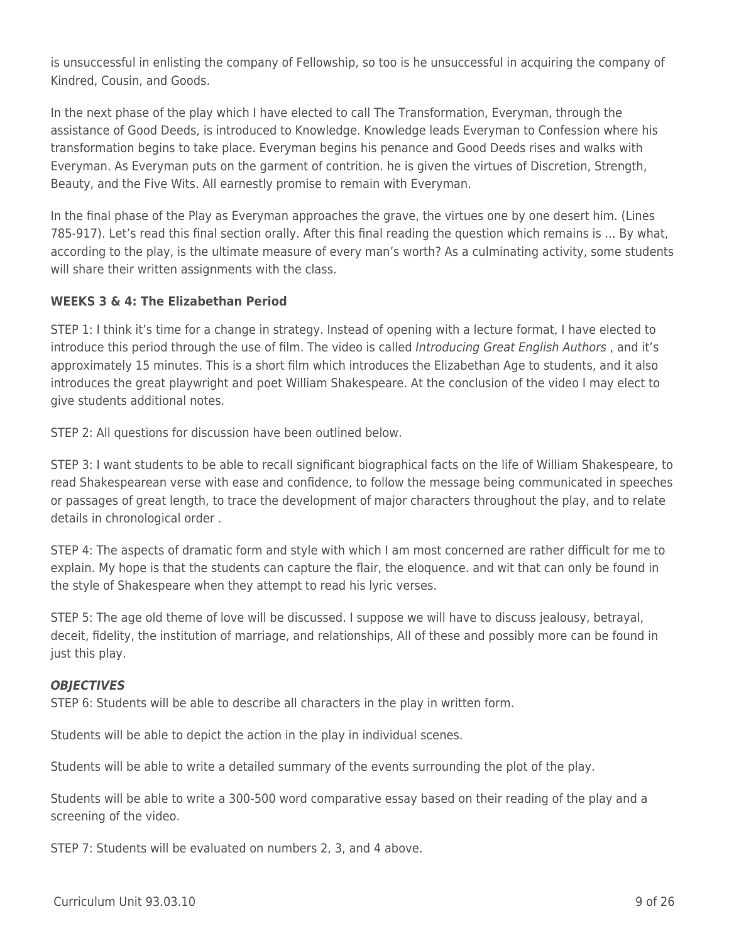is unsuccessful in enlisting the company of Fellowship, so too is he unsuccessful in acquiring the company of Kindred, Cousin, and Goods.

In the next phase of the play which I have elected to call The Transformation, Everyman, through the assistance of Good Deeds, is introduced to Knowledge. Knowledge leads Everyman to Confession where his transformation begins to take place. Everyman begins his penance and Good Deeds rises and walks with Everyman. As Everyman puts on the garment of contrition. he is given the virtues of Discretion, Strength, Beauty, and the Five Wits. All earnestly promise to remain with Everyman.

In the final phase of the Play as Everyman approaches the grave, the virtues one by one desert him. (Lines 785-917). Let's read this final section orally. After this final reading the question which remains is ... By what, according to the play, is the ultimate measure of every man's worth? As a culminating activity, some students will share their written assignments with the class.

## **WEEKS 3 & 4: The Elizabethan Period**

STEP 1: I think it's time for a change in strategy. Instead of opening with a lecture format, I have elected to introduce this period through the use of film. The video is called Introducing Great English Authors, and it's approximately 15 minutes. This is a short film which introduces the Elizabethan Age to students, and it also introduces the great playwright and poet William Shakespeare. At the conclusion of the video I may elect to give students additional notes.

STEP 2: All questions for discussion have been outlined below.

STEP 3: I want students to be able to recall significant biographical facts on the life of William Shakespeare, to read Shakespearean verse with ease and confidence, to follow the message being communicated in speeches or passages of great length, to trace the development of major characters throughout the play, and to relate details in chronological order .

STEP 4: The aspects of dramatic form and style with which I am most concerned are rather difficult for me to explain. My hope is that the students can capture the flair, the eloquence. and wit that can only be found in the style of Shakespeare when they attempt to read his lyric verses.

STEP 5: The age old theme of love will be discussed. I suppose we will have to discuss jealousy, betrayal, deceit, fidelity, the institution of marriage, and relationships, All of these and possibly more can be found in just this play.

## *OBJECTIVES*

STEP 6: Students will be able to describe all characters in the play in written form.

Students will be able to depict the action in the play in individual scenes.

Students will be able to write a detailed summary of the events surrounding the plot of the play.

Students will be able to write a 300-500 word comparative essay based on their reading of the play and a screening of the video.

STEP 7: Students will be evaluated on numbers 2, 3, and 4 above.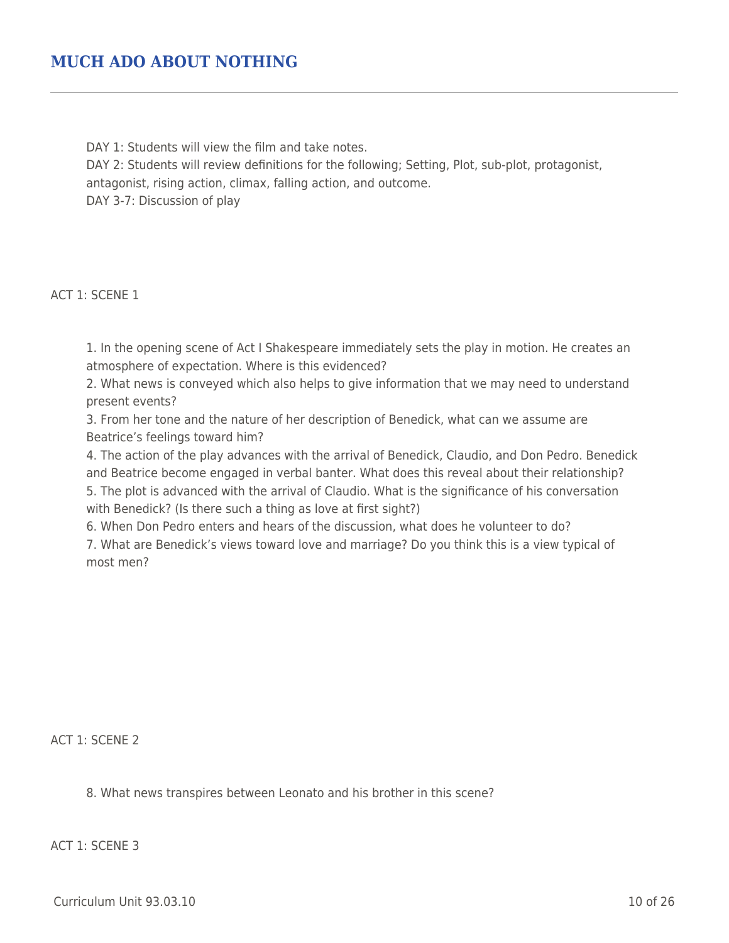## **MUCH ADO ABOUT NOTHING**

DAY 1: Students will view the film and take notes.

DAY 2: Students will review definitions for the following; Setting, Plot, sub-plot, protagonist, antagonist, rising action, climax, falling action, and outcome. DAY 3-7: Discussion of play

ACT 1: SCENE 1

1. In the opening scene of Act I Shakespeare immediately sets the play in motion. He creates an atmosphere of expectation. Where is this evidenced?

2. What news is conveyed which also helps to give information that we may need to understand present events?

3. From her tone and the nature of her description of Benedick, what can we assume are Beatrice's feelings toward him?

4. The action of the play advances with the arrival of Benedick, Claudio, and Don Pedro. Benedick and Beatrice become engaged in verbal banter. What does this reveal about their relationship? 5. The plot is advanced with the arrival of Claudio. What is the significance of his conversation with Benedick? (Is there such a thing as love at first sight?)

6. When Don Pedro enters and hears of the discussion, what does he volunteer to do?

7. What are Benedick's views toward love and marriage? Do you think this is a view typical of most men?

ACT 1: SCENE 2

8. What news transpires between Leonato and his brother in this scene?

ACT 1: SCENE 3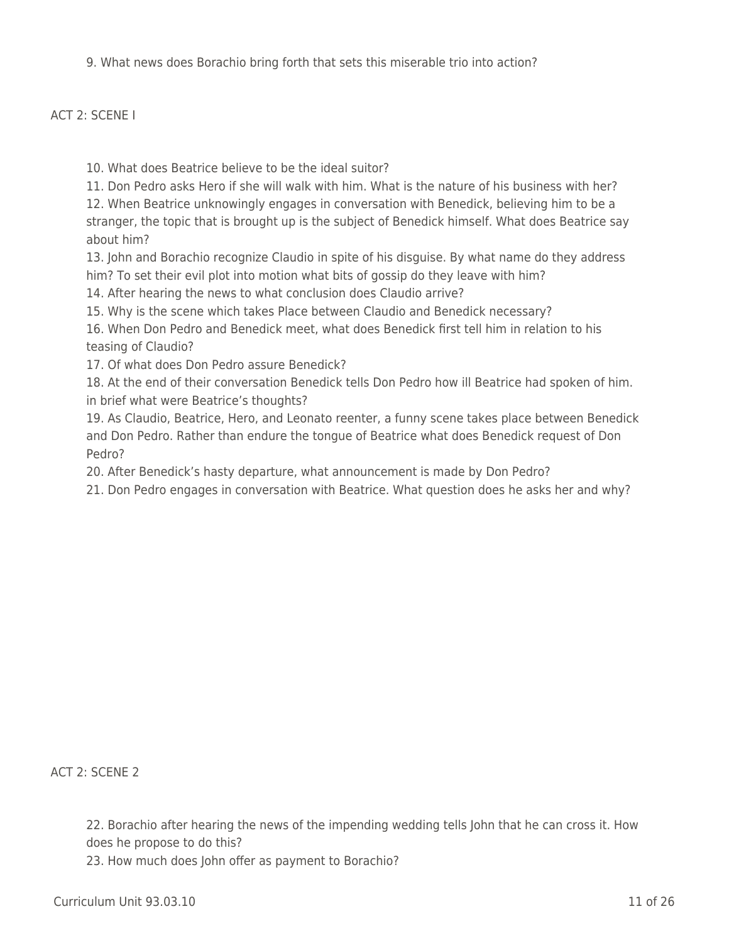9. What news does Borachio bring forth that sets this miserable trio into action?

#### ACT 2: SCENE I

- 10. What does Beatrice believe to be the ideal suitor?
- 11. Don Pedro asks Hero if she will walk with him. What is the nature of his business with her?

12. When Beatrice unknowingly engages in conversation with Benedick, believing him to be a stranger, the topic that is brought up is the subject of Benedick himself. What does Beatrice say about him?

13. John and Borachio recognize Claudio in spite of his disguise. By what name do they address him? To set their evil plot into motion what bits of gossip do they leave with him?

14. After hearing the news to what conclusion does Claudio arrive?

15. Why is the scene which takes Place between Claudio and Benedick necessary?

16. When Don Pedro and Benedick meet, what does Benedick first tell him in relation to his teasing of Claudio?

17. Of what does Don Pedro assure Benedick?

18. At the end of their conversation Benedick tells Don Pedro how ill Beatrice had spoken of him. in brief what were Beatrice's thoughts?

19. As Claudio, Beatrice, Hero, and Leonato reenter, a funny scene takes place between Benedick and Don Pedro. Rather than endure the tongue of Beatrice what does Benedick request of Don Pedro?

20. After Benedick's hasty departure, what announcement is made by Don Pedro?

21. Don Pedro engages in conversation with Beatrice. What question does he asks her and why?

ACT 2: SCENE 2

22. Borachio after hearing the news of the impending wedding tells John that he can cross it. How does he propose to do this?

23. How much does John offer as payment to Borachio?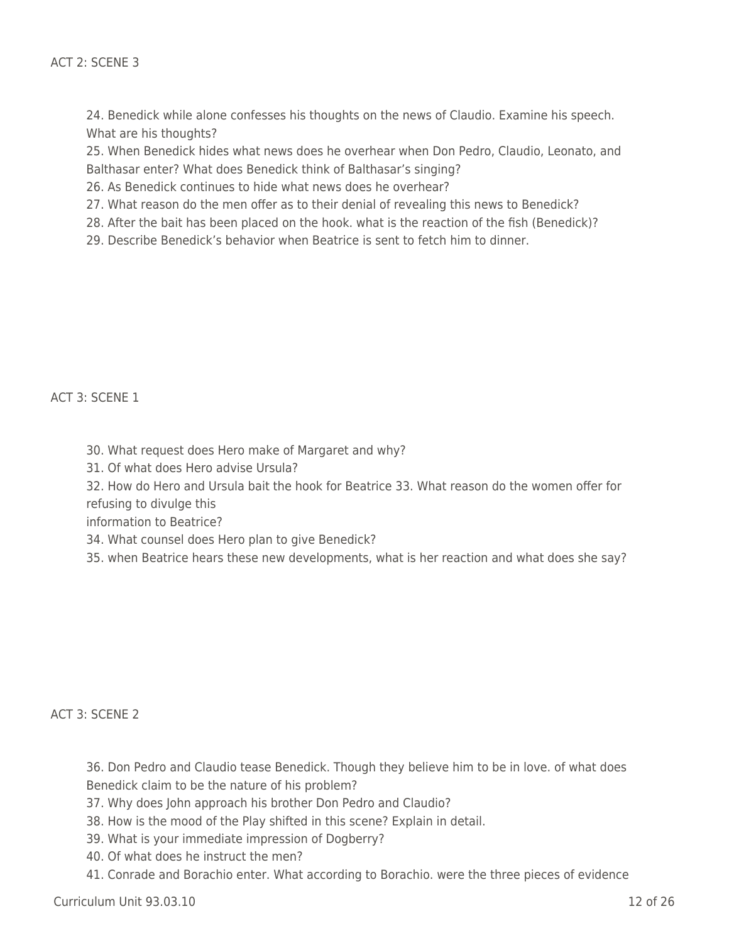24. Benedick while alone confesses his thoughts on the news of Claudio. Examine his speech. What are his thoughts?

25. When Benedick hides what news does he overhear when Don Pedro, Claudio, Leonato, and Balthasar enter? What does Benedick think of Balthasar's singing?

26. As Benedick continues to hide what news does he overhear?

27. What reason do the men offer as to their denial of revealing this news to Benedick?

28. After the bait has been placed on the hook. what is the reaction of the fish (Benedick)?

29. Describe Benedick's behavior when Beatrice is sent to fetch him to dinner.

ACT 3: SCENE 1

- 30. What request does Hero make of Margaret and why?
- 31. Of what does Hero advise Ursula?

32. How do Hero and Ursula bait the hook for Beatrice 33. What reason do the women offer for refusing to divulge this

information to Beatrice?

34. What counsel does Hero plan to give Benedick?

35. when Beatrice hears these new developments, what is her reaction and what does she say?

#### ACT 3: SCENE 2

- 36. Don Pedro and Claudio tease Benedick. Though they believe him to be in love. of what does
- Benedick claim to be the nature of his problem?
- 37. Why does John approach his brother Don Pedro and Claudio?
- 38. How is the mood of the Play shifted in this scene? Explain in detail.
- 39. What is your immediate impression of Dogberry?
- 40. Of what does he instruct the men?
- 41. Conrade and Borachio enter. What according to Borachio. were the three pieces of evidence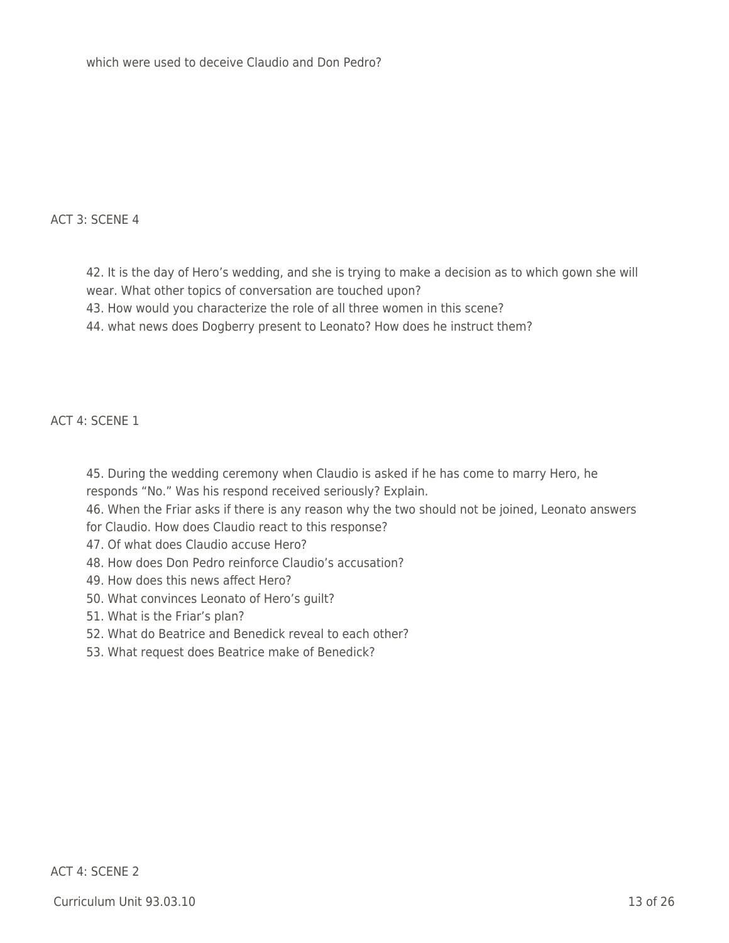### ACT 3: SCENE 4

42. It is the day of Hero's wedding, and she is trying to make a decision as to which gown she will wear. What other topics of conversation are touched upon?

- 43. How would you characterize the role of all three women in this scene?
- 44. what news does Dogberry present to Leonato? How does he instruct them?

ACT 4: SCENE 1

45. During the wedding ceremony when Claudio is asked if he has come to marry Hero, he responds "No." Was his respond received seriously? Explain.

46. When the Friar asks if there is any reason why the two should not be joined, Leonato answers for Claudio. How does Claudio react to this response?

- 47. Of what does Claudio accuse Hero?
- 48. How does Don Pedro reinforce Claudio's accusation?
- 49. How does this news affect Hero?
- 50. What convinces Leonato of Hero's guilt?
- 51. What is the Friar's plan?
- 52. What do Beatrice and Benedick reveal to each other?
- 53. What request does Beatrice make of Benedick?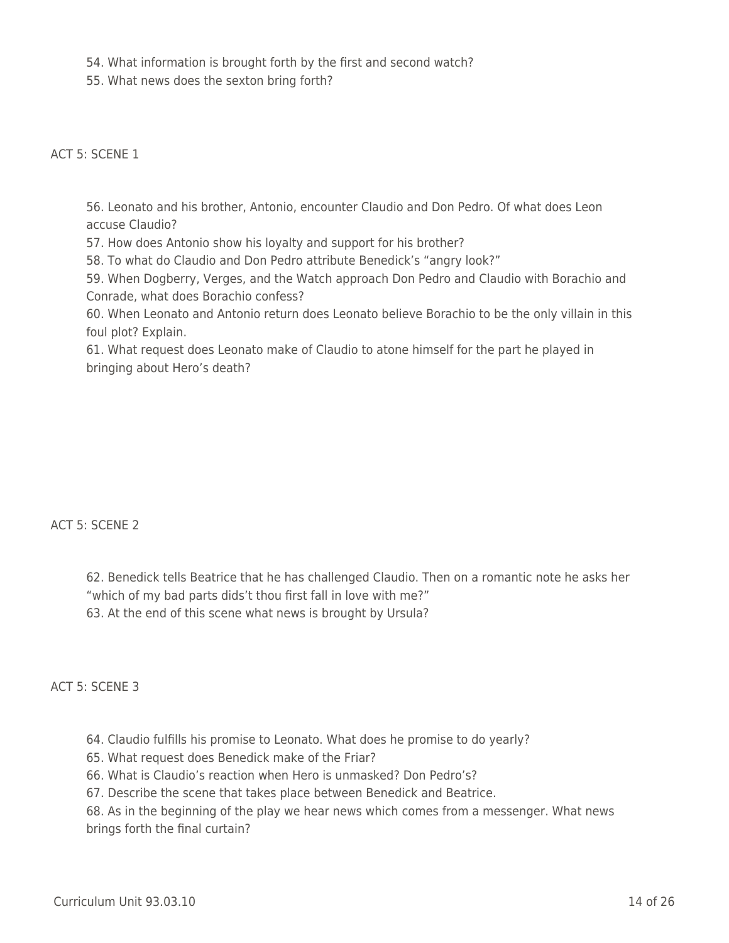54. What information is brought forth by the first and second watch?

55. What news does the sexton bring forth?

ACT 5: SCENE 1

56. Leonato and his brother, Antonio, encounter Claudio and Don Pedro. Of what does Leon accuse Claudio?

57. How does Antonio show his loyalty and support for his brother?

58. To what do Claudio and Don Pedro attribute Benedick's "angry look?"

59. When Dogberry, Verges, and the Watch approach Don Pedro and Claudio with Borachio and Conrade, what does Borachio confess?

60. When Leonato and Antonio return does Leonato believe Borachio to be the only villain in this foul plot? Explain.

61. What request does Leonato make of Claudio to atone himself for the part he played in bringing about Hero's death?

ACT 5: SCENE 2

62. Benedick tells Beatrice that he has challenged Claudio. Then on a romantic note he asks her "which of my bad parts dids't thou first fall in love with me?" 63. At the end of this scene what news is brought by Ursula?

ACT 5: SCENE 3

64. Claudio fulfills his promise to Leonato. What does he promise to do yearly?

65. What request does Benedick make of the Friar?

66. What is Claudio's reaction when Hero is unmasked? Don Pedro's?

67. Describe the scene that takes place between Benedick and Beatrice.

68. As in the beginning of the play we hear news which comes from a messenger. What news brings forth the final curtain?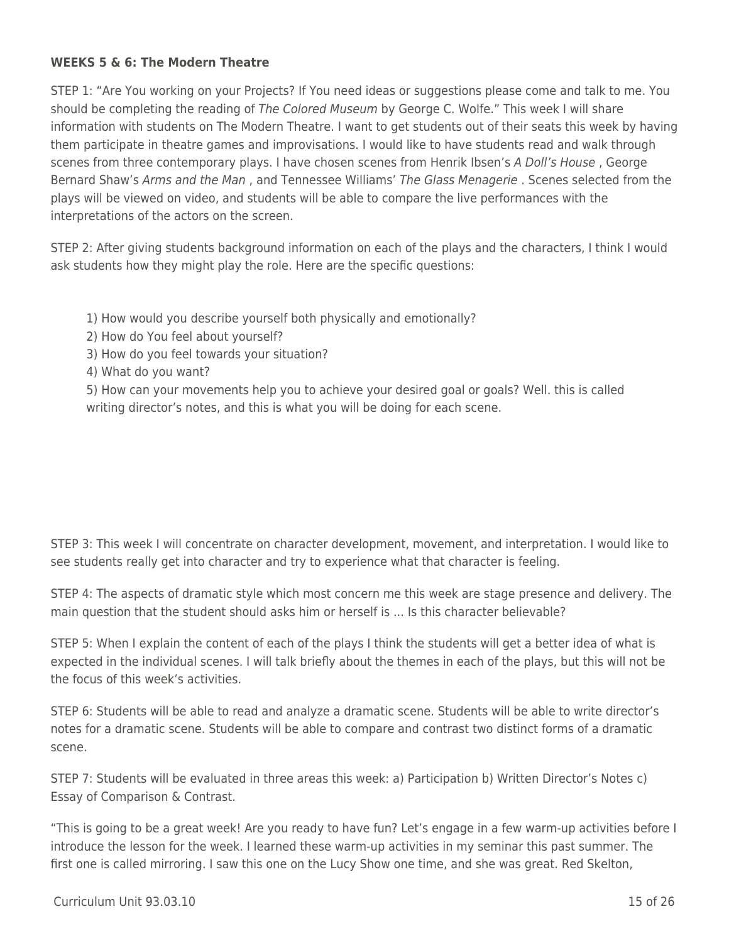### **WEEKS 5 & 6: The Modern Theatre**

STEP 1: "Are You working on your Projects? If You need ideas or suggestions please come and talk to me. You should be completing the reading of The Colored Museum by George C. Wolfe." This week I will share information with students on The Modern Theatre. I want to get students out of their seats this week by having them participate in theatre games and improvisations. I would like to have students read and walk through scenes from three contemporary plays. I have chosen scenes from Henrik Ibsen's A Doll's House, George Bernard Shaw's Arms and the Man, and Tennessee Williams' The Glass Menagerie. Scenes selected from the plays will be viewed on video, and students will be able to compare the live performances with the interpretations of the actors on the screen.

STEP 2: After giving students background information on each of the plays and the characters, I think I would ask students how they might play the role. Here are the specific questions:

- 1) How would you describe yourself both physically and emotionally?
- 2) How do You feel about yourself?
- 3) How do you feel towards your situation?
- 4) What do you want?

5) How can your movements help you to achieve your desired goal or goals? Well. this is called writing director's notes, and this is what you will be doing for each scene.

STEP 3: This week I will concentrate on character development, movement, and interpretation. I would like to see students really get into character and try to experience what that character is feeling.

STEP 4: The aspects of dramatic style which most concern me this week are stage presence and delivery. The main question that the student should asks him or herself is ... Is this character believable?

STEP 5: When I explain the content of each of the plays I think the students will get a better idea of what is expected in the individual scenes. I will talk briefly about the themes in each of the plays, but this will not be the focus of this week's activities.

STEP 6: Students will be able to read and analyze a dramatic scene. Students will be able to write director's notes for a dramatic scene. Students will be able to compare and contrast two distinct forms of a dramatic scene.

STEP 7: Students will be evaluated in three areas this week: a) Participation b) Written Director's Notes c) Essay of Comparison & Contrast.

"This is going to be a great week! Are you ready to have fun? Let's engage in a few warm-up activities before I introduce the lesson for the week. I learned these warm-up activities in my seminar this past summer. The first one is called mirroring. I saw this one on the Lucy Show one time, and she was great. Red Skelton,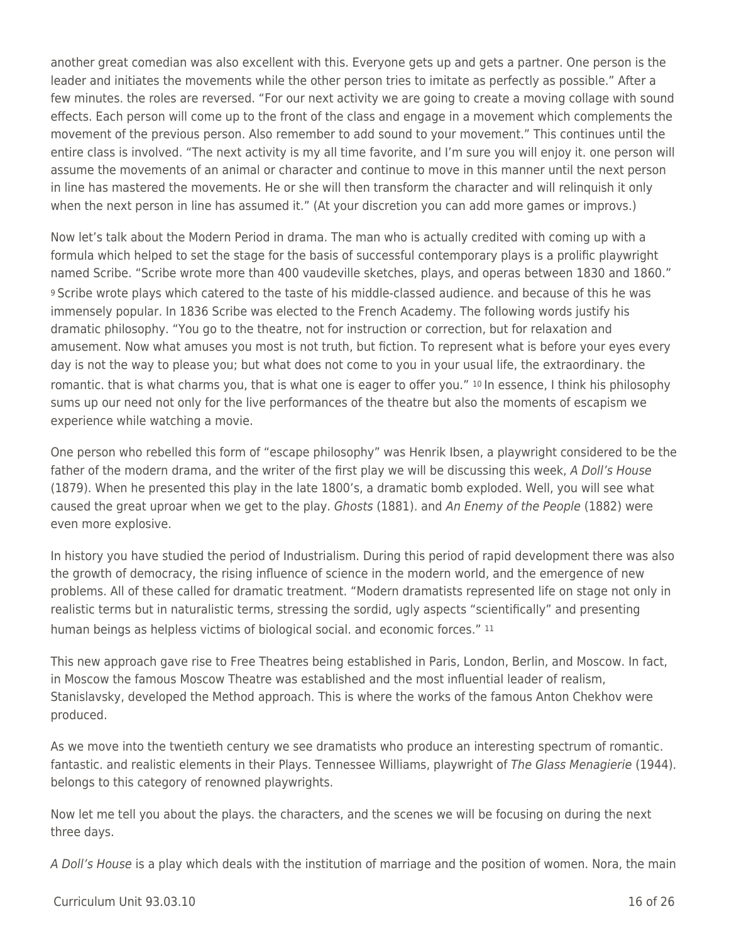another great comedian was also excellent with this. Everyone gets up and gets a partner. One person is the leader and initiates the movements while the other person tries to imitate as perfectly as possible." After a few minutes. the roles are reversed. "For our next activity we are going to create a moving collage with sound effects. Each person will come up to the front of the class and engage in a movement which complements the movement of the previous person. Also remember to add sound to your movement." This continues until the entire class is involved. "The next activity is my all time favorite, and I'm sure you will enjoy it. one person will assume the movements of an animal or character and continue to move in this manner until the next person in line has mastered the movements. He or she will then transform the character and will relinquish it only when the next person in line has assumed it." (At your discretion you can add more games or improvs.)

Now let's talk about the Modern Period in drama. The man who is actually credited with coming up with a formula which helped to set the stage for the basis of successful contemporary plays is a prolific playwright named Scribe. "Scribe wrote more than 400 vaudeville sketches, plays, and operas between 1830 and 1860." <sup>9</sup>Scribe wrote plays which catered to the taste of his middle-classed audience. and because of this he was immensely popular. In 1836 Scribe was elected to the French Academy. The following words justify his dramatic philosophy. "You go to the theatre, not for instruction or correction, but for relaxation and amusement. Now what amuses you most is not truth, but fiction. To represent what is before your eyes every day is not the way to please you; but what does not come to you in your usual life, the extraordinary. the romantic. that is what charms you, that is what one is eager to offer you." 10 In essence, I think his philosophy sums up our need not only for the live performances of the theatre but also the moments of escapism we experience while watching a movie.

One person who rebelled this form of "escape philosophy" was Henrik Ibsen, a playwright considered to be the father of the modern drama, and the writer of the first play we will be discussing this week, A Doll's House (1879). When he presented this play in the late 1800's, a dramatic bomb exploded. Well, you will see what caused the great uproar when we get to the play. Ghosts (1881). and An Enemy of the People (1882) were even more explosive.

In history you have studied the period of Industrialism. During this period of rapid development there was also the growth of democracy, the rising influence of science in the modern world, and the emergence of new problems. All of these called for dramatic treatment. "Modern dramatists represented life on stage not only in realistic terms but in naturalistic terms, stressing the sordid, ugly aspects "scientifically" and presenting human beings as helpless victims of biological social. and economic forces." 11

This new approach gave rise to Free Theatres being established in Paris, London, Berlin, and Moscow. In fact, in Moscow the famous Moscow Theatre was established and the most influential leader of realism, Stanislavsky, developed the Method approach. This is where the works of the famous Anton Chekhov were produced.

As we move into the twentieth century we see dramatists who produce an interesting spectrum of romantic. fantastic. and realistic elements in their Plays. Tennessee Williams, playwright of The Glass Menagierie (1944). belongs to this category of renowned playwrights.

Now let me tell you about the plays. the characters, and the scenes we will be focusing on during the next three days.

A Doll's House is a play which deals with the institution of marriage and the position of women. Nora, the main

 $Curir$  Unit 93.03.10  $\qquad$  16 of 26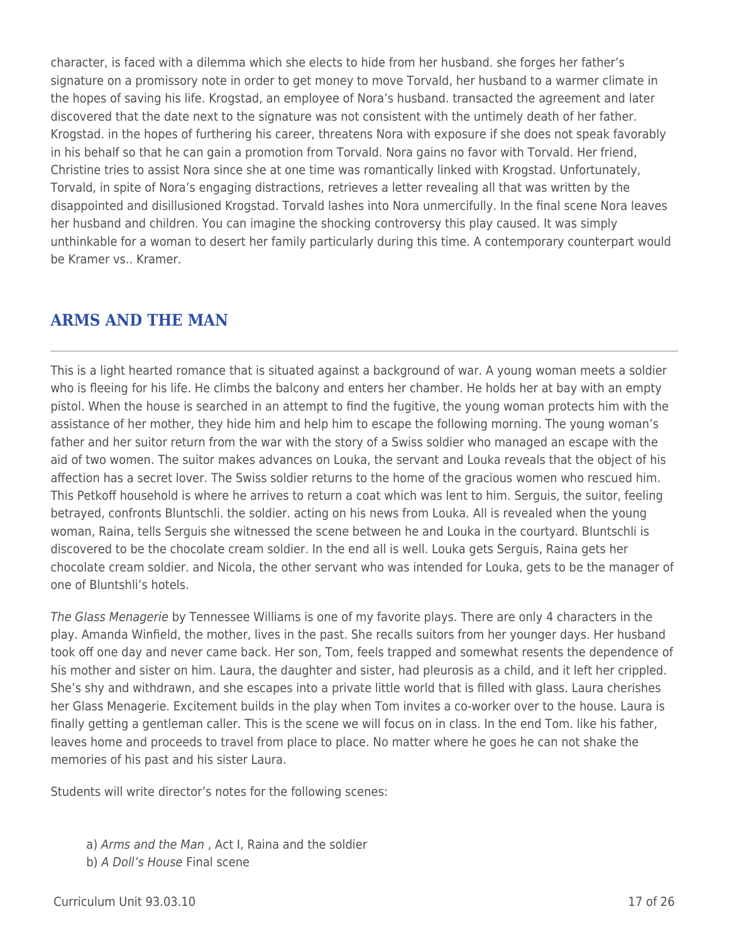character, is faced with a dilemma which she elects to hide from her husband. she forges her father's signature on a promissory note in order to get money to move Torvald, her husband to a warmer climate in the hopes of saving his life. Krogstad, an employee of Nora's husband. transacted the agreement and later discovered that the date next to the signature was not consistent with the untimely death of her father. Krogstad. in the hopes of furthering his career, threatens Nora with exposure if she does not speak favorably in his behalf so that he can gain a promotion from Torvald. Nora gains no favor with Torvald. Her friend, Christine tries to assist Nora since she at one time was romantically linked with Krogstad. Unfortunately, Torvald, in spite of Nora's engaging distractions, retrieves a letter revealing all that was written by the disappointed and disillusioned Krogstad. Torvald lashes into Nora unmercifully. In the final scene Nora leaves her husband and children. You can imagine the shocking controversy this play caused. It was simply unthinkable for a woman to desert her family particularly during this time. A contemporary counterpart would be Kramer vs.. Kramer.

## **ARMS AND THE MAN**

This is a light hearted romance that is situated against a background of war. A young woman meets a soldier who is fleeing for his life. He climbs the balcony and enters her chamber. He holds her at bay with an empty pistol. When the house is searched in an attempt to find the fugitive, the young woman protects him with the assistance of her mother, they hide him and help him to escape the following morning. The young woman's father and her suitor return from the war with the story of a Swiss soldier who managed an escape with the aid of two women. The suitor makes advances on Louka, the servant and Louka reveals that the object of his affection has a secret lover. The Swiss soldier returns to the home of the gracious women who rescued him. This Petkoff household is where he arrives to return a coat which was lent to him. Serguis, the suitor, feeling betrayed, confronts Bluntschli. the soldier. acting on his news from Louka. All is revealed when the young woman, Raina, tells Serguis she witnessed the scene between he and Louka in the courtyard. Bluntschli is discovered to be the chocolate cream soldier. In the end all is well. Louka gets Serguis, Raina gets her chocolate cream soldier. and Nicola, the other servant who was intended for Louka, gets to be the manager of one of Bluntshli's hotels.

The Glass Menagerie by Tennessee Williams is one of my favorite plays. There are only 4 characters in the play. Amanda Winfield, the mother, lives in the past. She recalls suitors from her younger days. Her husband took off one day and never came back. Her son, Tom, feels trapped and somewhat resents the dependence of his mother and sister on him. Laura, the daughter and sister, had pleurosis as a child, and it left her crippled. She's shy and withdrawn, and she escapes into a private little world that is filled with glass. Laura cherishes her Glass Menagerie. Excitement builds in the play when Tom invites a co-worker over to the house. Laura is finally getting a gentleman caller. This is the scene we will focus on in class. In the end Tom. like his father, leaves home and proceeds to travel from place to place. No matter where he goes he can not shake the memories of his past and his sister Laura.

Students will write director's notes for the following scenes:

a) Arms and the Man , Act I, Raina and the soldier b) A Doll's House Final scene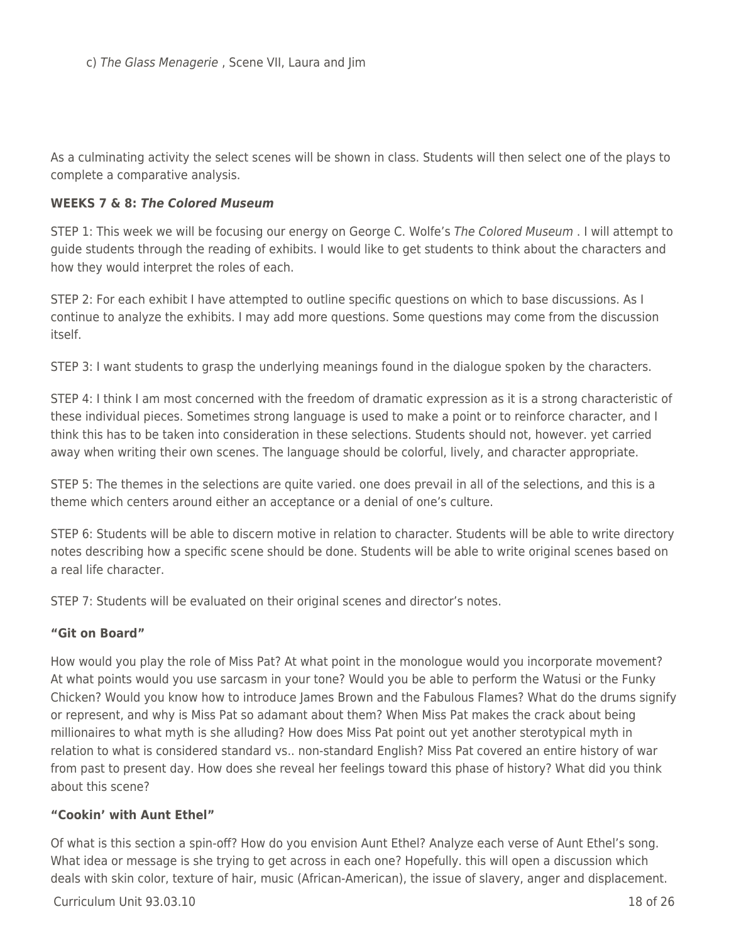As a culminating activity the select scenes will be shown in class. Students will then select one of the plays to complete a comparative analysis.

#### **WEEKS 7 & 8:** *The Colored Museum*

STEP 1: This week we will be focusing our energy on George C. Wolfe's The Colored Museum . I will attempt to guide students through the reading of exhibits. I would like to get students to think about the characters and how they would interpret the roles of each.

STEP 2: For each exhibit I have attempted to outline specific questions on which to base discussions. As I continue to analyze the exhibits. I may add more questions. Some questions may come from the discussion itself.

STEP 3: I want students to grasp the underlying meanings found in the dialogue spoken by the characters.

STEP 4: I think I am most concerned with the freedom of dramatic expression as it is a strong characteristic of these individual pieces. Sometimes strong language is used to make a point or to reinforce character, and I think this has to be taken into consideration in these selections. Students should not, however. yet carried away when writing their own scenes. The language should be colorful, lively, and character appropriate.

STEP 5: The themes in the selections are quite varied. one does prevail in all of the selections, and this is a theme which centers around either an acceptance or a denial of one's culture.

STEP 6: Students will be able to discern motive in relation to character. Students will be able to write directory notes describing how a specific scene should be done. Students will be able to write original scenes based on a real life character.

STEP 7: Students will be evaluated on their original scenes and director's notes.

#### **"Git on Board"**

How would you play the role of Miss Pat? At what point in the monologue would you incorporate movement? At what points would you use sarcasm in your tone? Would you be able to perform the Watusi or the Funky Chicken? Would you know how to introduce James Brown and the Fabulous Flames? What do the drums signify or represent, and why is Miss Pat so adamant about them? When Miss Pat makes the crack about being millionaires to what myth is she alluding? How does Miss Pat point out yet another sterotypical myth in relation to what is considered standard vs.. non-standard English? Miss Pat covered an entire history of war from past to present day. How does she reveal her feelings toward this phase of history? What did you think about this scene?

#### **"Cookin' with Aunt Ethel"**

Of what is this section a spin-off? How do you envision Aunt Ethel? Analyze each verse of Aunt Ethel's song. What idea or message is she trying to get across in each one? Hopefully. this will open a discussion which deals with skin color, texture of hair, music (African-American), the issue of slavery, anger and displacement.

 $C$ urriculum Unit 93.03.10  $\qquad$  18 of 26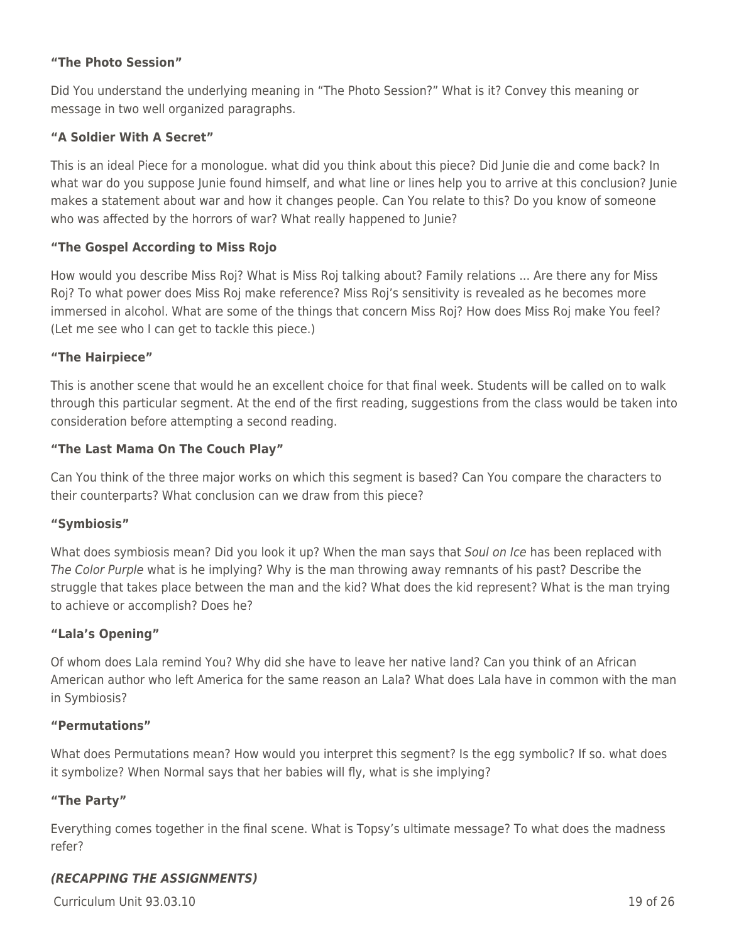## **"The Photo Session"**

Did You understand the underlying meaning in "The Photo Session?" What is it? Convey this meaning or message in two well organized paragraphs.

### **"A Soldier With A Secret"**

This is an ideal Piece for a monologue. what did you think about this piece? Did Junie die and come back? In what war do you suppose Junie found himself, and what line or lines help you to arrive at this conclusion? Junie makes a statement about war and how it changes people. Can You relate to this? Do you know of someone who was affected by the horrors of war? What really happened to Junie?

#### **"The Gospel According to Miss Rojo**

How would you describe Miss Roj? What is Miss Roj talking about? Family relations ... Are there any for Miss Roj? To what power does Miss Roj make reference? Miss Roj's sensitivity is revealed as he becomes more immersed in alcohol. What are some of the things that concern Miss Roj? How does Miss Roj make You feel? (Let me see who I can get to tackle this piece.)

#### **"The Hairpiece"**

This is another scene that would he an excellent choice for that final week. Students will be called on to walk through this particular segment. At the end of the first reading, suggestions from the class would be taken into consideration before attempting a second reading.

#### **"The Last Mama On The Couch Play"**

Can You think of the three major works on which this segment is based? Can You compare the characters to their counterparts? What conclusion can we draw from this piece?

#### **"Symbiosis"**

What does symbiosis mean? Did you look it up? When the man says that Soul on Ice has been replaced with The Color Purple what is he implying? Why is the man throwing away remnants of his past? Describe the struggle that takes place between the man and the kid? What does the kid represent? What is the man trying to achieve or accomplish? Does he?

#### **"Lala's Opening"**

Of whom does Lala remind You? Why did she have to leave her native land? Can you think of an African American author who left America for the same reason an Lala? What does Lala have in common with the man in Symbiosis?

#### **"Permutations"**

What does Permutations mean? How would you interpret this segment? Is the egg symbolic? If so. what does it symbolize? When Normal says that her babies will fly, what is she implying?

#### **"The Party"**

Everything comes together in the final scene. What is Topsy's ultimate message? To what does the madness refer?

#### *(RECAPPING THE ASSIGNMENTS)*

 $C$ urriculum Unit 93.03.10 19 of 26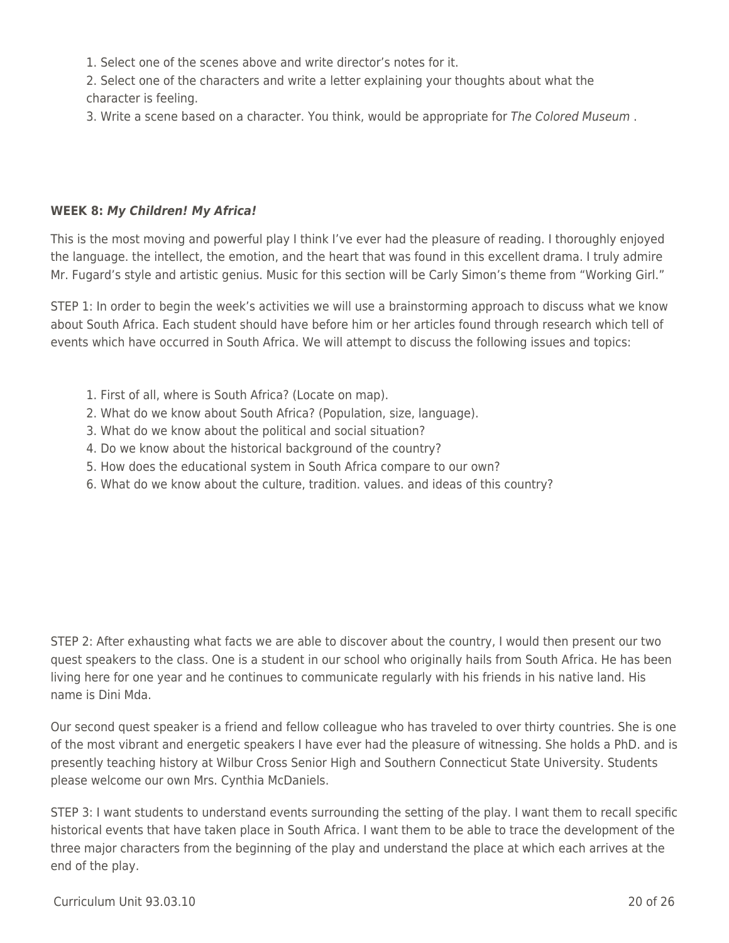- 1. Select one of the scenes above and write director's notes for it.
- 2. Select one of the characters and write a letter explaining your thoughts about what the character is feeling.
- 3. Write a scene based on a character. You think, would be appropriate for The Colored Museum .

### **WEEK 8:** *My Children! My Africa!*

This is the most moving and powerful play I think I've ever had the pleasure of reading. I thoroughly enjoyed the language. the intellect, the emotion, and the heart that was found in this excellent drama. I truly admire Mr. Fugard's style and artistic genius. Music for this section will be Carly Simon's theme from "Working Girl."

STEP 1: In order to begin the week's activities we will use a brainstorming approach to discuss what we know about South Africa. Each student should have before him or her articles found through research which tell of events which have occurred in South Africa. We will attempt to discuss the following issues and topics:

- 1. First of all, where is South Africa? (Locate on map).
- 2. What do we know about South Africa? (Population, size, language).
- 3. What do we know about the political and social situation?
- 4. Do we know about the historical background of the country?
- 5. How does the educational system in South Africa compare to our own?
- 6. What do we know about the culture, tradition. values. and ideas of this country?

STEP 2: After exhausting what facts we are able to discover about the country, I would then present our two quest speakers to the class. One is a student in our school who originally hails from South Africa. He has been living here for one year and he continues to communicate regularly with his friends in his native land. His name is Dini Mda.

Our second quest speaker is a friend and fellow colleague who has traveled to over thirty countries. She is one of the most vibrant and energetic speakers I have ever had the pleasure of witnessing. She holds a PhD. and is presently teaching history at Wilbur Cross Senior High and Southern Connecticut State University. Students please welcome our own Mrs. Cynthia McDaniels.

STEP 3: I want students to understand events surrounding the setting of the play. I want them to recall specific historical events that have taken place in South Africa. I want them to be able to trace the development of the three major characters from the beginning of the play and understand the place at which each arrives at the end of the play.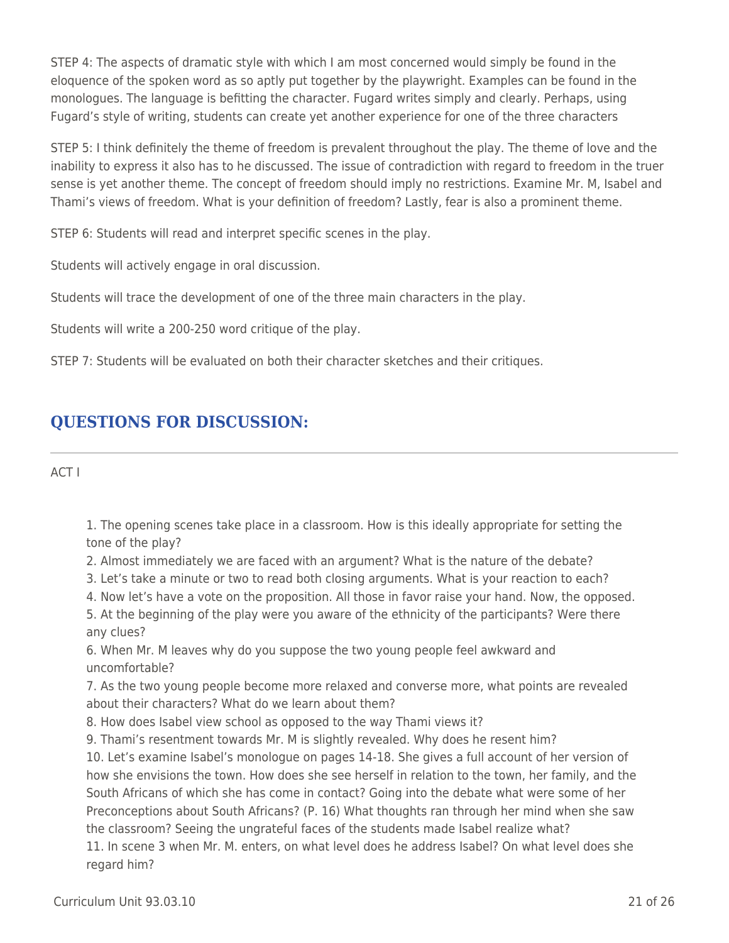STEP 4: The aspects of dramatic style with which I am most concerned would simply be found in the eloquence of the spoken word as so aptly put together by the playwright. Examples can be found in the monologues. The language is befitting the character. Fugard writes simply and clearly. Perhaps, using Fugard's style of writing, students can create yet another experience for one of the three characters

STEP 5: I think definitely the theme of freedom is prevalent throughout the play. The theme of love and the inability to express it also has to he discussed. The issue of contradiction with regard to freedom in the truer sense is yet another theme. The concept of freedom should imply no restrictions. Examine Mr. M, Isabel and Thami's views of freedom. What is your definition of freedom? Lastly, fear is also a prominent theme.

STEP 6: Students will read and interpret specific scenes in the play.

Students will actively engage in oral discussion.

Students will trace the development of one of the three main characters in the play.

Students will write a 200-250 word critique of the play.

STEP 7: Students will be evaluated on both their character sketches and their critiques.

## **QUESTIONS FOR DISCUSSION:**

ACT I

1. The opening scenes take place in a classroom. How is this ideally appropriate for setting the tone of the play?

2. Almost immediately we are faced with an argument? What is the nature of the debate?

- 3. Let's take a minute or two to read both closing arguments. What is your reaction to each?
- 4. Now let's have a vote on the proposition. All those in favor raise your hand. Now, the opposed.

5. At the beginning of the play were you aware of the ethnicity of the participants? Were there any clues?

6. When Mr. M leaves why do you suppose the two young people feel awkward and uncomfortable?

7. As the two young people become more relaxed and converse more, what points are revealed about their characters? What do we learn about them?

8. How does Isabel view school as opposed to the way Thami views it?

9. Thami's resentment towards Mr. M is slightly revealed. Why does he resent him?

10. Let's examine Isabel's monologue on pages 14-18. She gives a full account of her version of how she envisions the town. How does she see herself in relation to the town, her family, and the South Africans of which she has come in contact? Going into the debate what were some of her Preconceptions about South Africans? (P. 16) What thoughts ran through her mind when she saw the classroom? Seeing the ungrateful faces of the students made Isabel realize what? 11. In scene 3 when Mr. M. enters, on what level does he address Isabel? On what level does she regard him?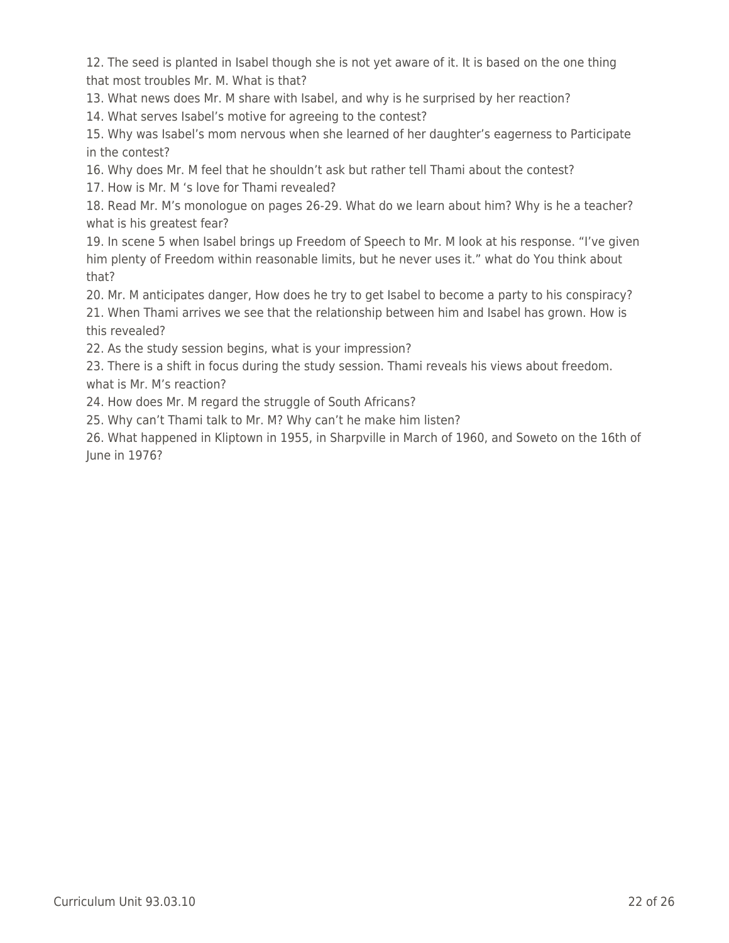12. The seed is planted in Isabel though she is not yet aware of it. It is based on the one thing that most troubles Mr. M. What is that?

13. What news does Mr. M share with Isabel, and why is he surprised by her reaction?

14. What serves Isabel's motive for agreeing to the contest?

15. Why was Isabel's mom nervous when she learned of her daughter's eagerness to Participate in the contest?

16. Why does Mr. M feel that he shouldn't ask but rather tell Thami about the contest?

17. How is Mr. M 's love for Thami revealed?

18. Read Mr. M's monologue on pages 26-29. What do we learn about him? Why is he a teacher? what is his greatest fear?

19. In scene 5 when Isabel brings up Freedom of Speech to Mr. M look at his response. "I've given him plenty of Freedom within reasonable limits, but he never uses it." what do You think about that?

20. Mr. M anticipates danger, How does he try to get Isabel to become a party to his conspiracy? 21. When Thami arrives we see that the relationship between him and Isabel has grown. How is this revealed?

22. As the study session begins, what is your impression?

23. There is a shift in focus during the study session. Thami reveals his views about freedom. what is Mr. M's reaction?

24. How does Mr. M regard the struggle of South Africans?

25. Why can't Thami talk to Mr. M? Why can't he make him listen?

26. What happened in Kliptown in 1955, in Sharpville in March of 1960, and Soweto on the 16th of June in 1976?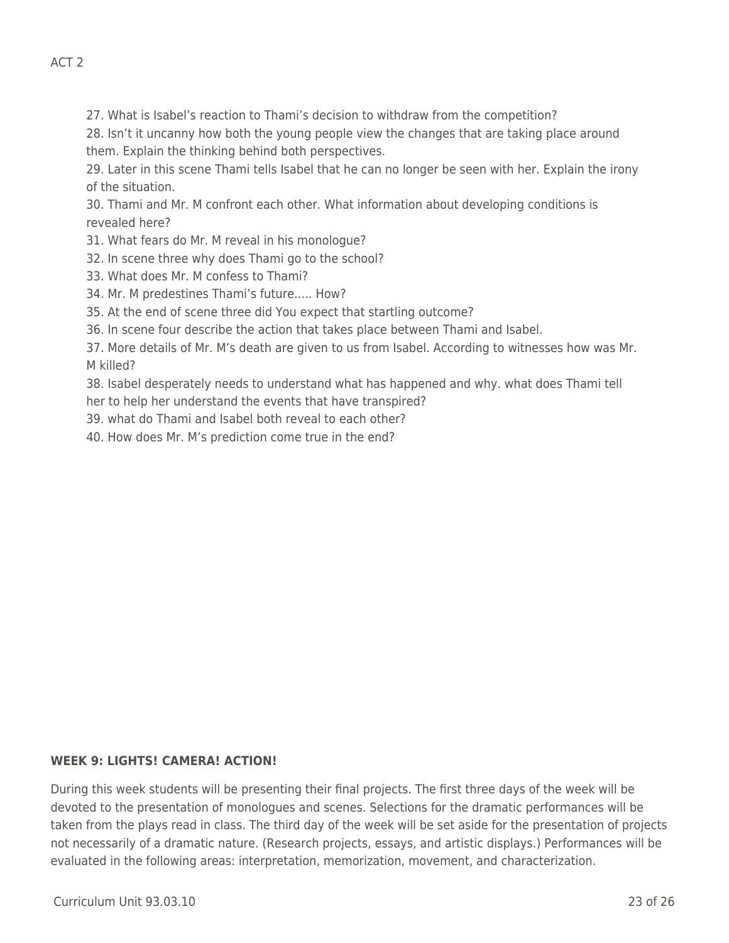27. What is Isabel's reaction to Thami's decision to withdraw from the competition?

28. Isn't it uncanny how both the young people view the changes that are taking place around them. Explain the thinking behind both perspectives.

29. Later in this scene Thami tells Isabel that he can no longer be seen with her. Explain the irony of the situation.

30. Thami and Mr. M confront each other. What information about developing conditions is revealed here?

31. What fears do Mr. M reveal in his monologue?

- 32. In scene three why does Thami go to the school?
- 33. What does Mr. M confess to Thami?
- 34. Mr. M predestines Thami's future..... How?
- 35. At the end of scene three did You expect that startling outcome?

36. In scene four describe the action that takes place between Thami and Isabel.

37. More details of Mr. M's death are given to us from Isabel. According to witnesses how was Mr. M killed?

38. Isabel desperately needs to understand what has happened and why. what does Thami tell her to help her understand the events that have transpired?

39. what do Thami and Isabel both reveal to each other?

40. How does Mr. M's prediction come true in the end?

#### **WEEK 9: LIGHTS! CAMERA! ACTION!**

During this week students will be presenting their final projects. The first three days of the week will be devoted to the presentation of monologues and scenes. Selections for the dramatic performances will be taken from the plays read in class. The third day of the week will be set aside for the presentation of projects not necessarily of a dramatic nature. (Research projects, essays, and artistic displays.) Performances will be evaluated in the following areas: interpretation, memorization, movement, and characterization.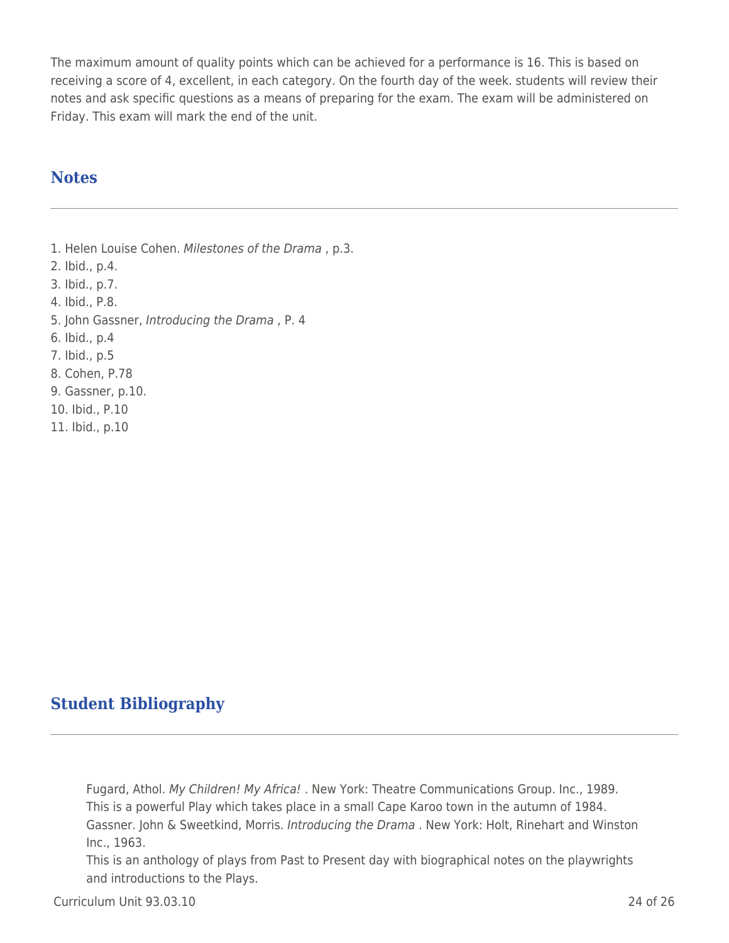The maximum amount of quality points which can be achieved for a performance is 16. This is based on receiving a score of 4, excellent, in each category. On the fourth day of the week. students will review their notes and ask specific questions as a means of preparing for the exam. The exam will be administered on Friday. This exam will mark the end of the unit.

## **Notes**

1. Helen Louise Cohen. Milestones of the Drama , p.3. 2. Ibid., p.4. 3. Ibid., p.7. 4. Ibid., P.8. 5. John Gassner, Introducing the Drama , P. 4 6. Ibid., p.4 7. Ibid., p.5 8. Cohen, P.78 9. Gassner, p.10. 10. Ibid., P.10 11. Ibid., p.10

## **Student Bibliography**

Fugard, Athol. My Children! My Africa! . New York: Theatre Communications Group. Inc., 1989. This is a powerful Play which takes place in a small Cape Karoo town in the autumn of 1984. Gassner. John & Sweetkind, Morris. Introducing the Drama . New York: Holt, Rinehart and Winston Inc., 1963.

This is an anthology of plays from Past to Present day with biographical notes on the playwrights and introductions to the Plays.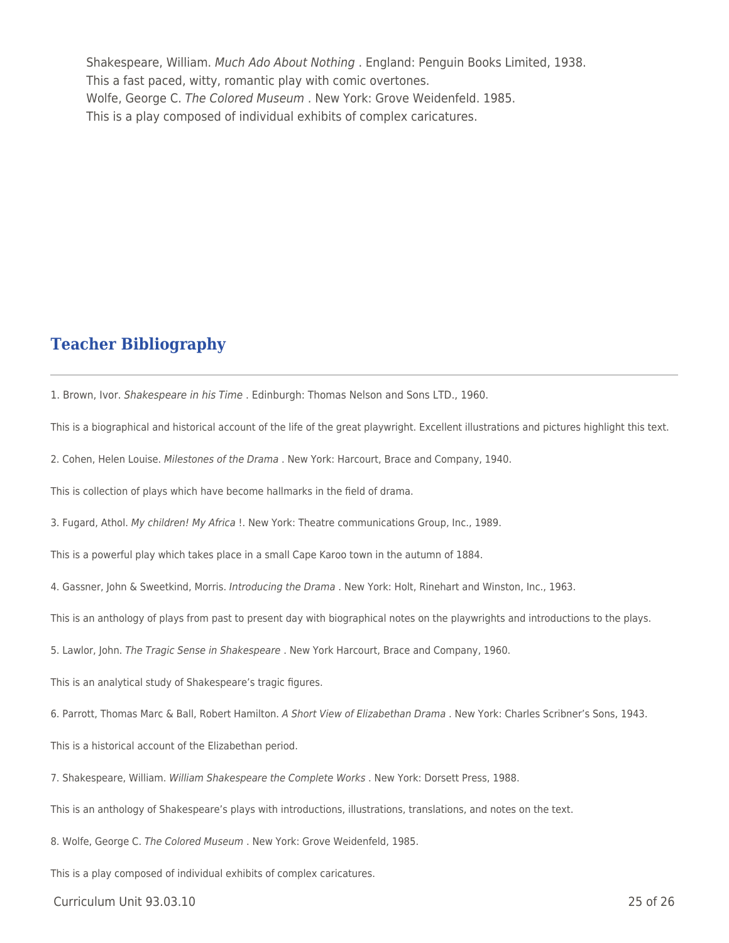Shakespeare, William. Much Ado About Nothing . England: Penguin Books Limited, 1938. This a fast paced, witty, romantic play with comic overtones. Wolfe, George C. The Colored Museum . New York: Grove Weidenfeld. 1985. This is a play composed of individual exhibits of complex caricatures.

## **Teacher Bibliography**

1. Brown, Ivor. Shakespeare in his Time . Edinburgh: Thomas Nelson and Sons LTD., 1960.

This is a biographical and historical account of the life of the great playwright. Excellent illustrations and pictures highlight this text.

2. Cohen, Helen Louise. Milestones of the Drama . New York: Harcourt, Brace and Company, 1940.

This is collection of plays which have become hallmarks in the field of drama.

3. Fugard, Athol. My children! My Africa !. New York: Theatre communications Group, Inc., 1989.

This is a powerful play which takes place in a small Cape Karoo town in the autumn of 1884.

4. Gassner, John & Sweetkind, Morris. Introducing the Drama . New York: Holt, Rinehart and Winston, Inc., 1963.

This is an anthology of plays from past to present day with biographical notes on the playwrights and introductions to the plays.

5. Lawlor, John. The Tragic Sense in Shakespeare . New York Harcourt, Brace and Company, 1960.

This is an analytical study of Shakespeare's tragic figures.

6. Parrott, Thomas Marc & Ball, Robert Hamilton. A Short View of Elizabethan Drama . New York: Charles Scribner's Sons, 1943.

This is a historical account of the Elizabethan period.

7. Shakespeare, William. William Shakespeare the Complete Works . New York: Dorsett Press, 1988.

This is an anthology of Shakespeare's plays with introductions, illustrations, translations, and notes on the text.

8. Wolfe, George C. The Colored Museum . New York: Grove Weidenfeld, 1985.

This is a play composed of individual exhibits of complex caricatures.

Curriculum Unit 93.03.10 25 of 26